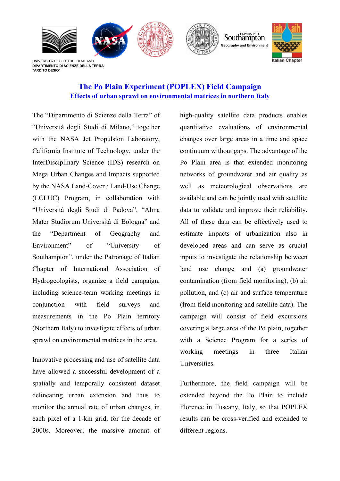

**DIPARTIMENTO DI SCIENZE DELLA TERRA "ARDITO DESIO"**

## **The Po Plain Experiment (POPLEX) Field Campaign Effects of urban sprawl on environmental matrices in northern Italy**

The "Dipartimento di Scienze della Terra" of "Università degli Studi di Milano," together with the NASA Jet Propulsion Laboratory, California Institute of Technology, under the InterDisciplinary Science (IDS) research on Mega Urban Changes and Impacts supported by the NASA Land-Cover / Land-Use Change (LCLUC) Program, in collaboration with "Università degli Studi di Padova", "Alma Mater Studiorum Università di Bologna" and the "Department of Geography and Environment" of "University of Southampton", under the Patronage of Italian Chapter of International Association of Hydrogeologists, organize a field campaign, including science-team working meetings in conjunction with field surveys and measurements in the Po Plain territory (Northern Italy) to investigate effects of urban sprawl on environmental matrices in the area.

Innovative processing and use of satellite data have allowed a successful development of a spatially and temporally consistent dataset delineating urban extension and thus to monitor the annual rate of urban changes, in each pixel of a 1-km grid, for the decade of 2000s. Moreover, the massive amount of

high-quality satellite data products enables quantitative evaluations of environmental changes over large areas in a time and space continuum without gaps. The advantage of the Po Plain area is that extended monitoring networks of groundwater and air quality as well as meteorological observations are available and can be jointly used with satellite data to validate and improve their reliability. All of these data can be effectively used to estimate impacts of urbanization also in developed areas and can serve as crucial inputs to investigate the relationship between land use change and (a) groundwater contamination (from field monitoring), (b) air pollution, and (c) air and surface temperature (from field monitoring and satellite data). The campaign will consist of field excursions covering a large area of the Po plain, together with a Science Program for a series of working meetings in three Italian Universities.

Furthermore, the field campaign will be extended beyond the Po Plain to include Florence in Tuscany, Italy, so that POPLEX results can be cross-verified and extended to different regions.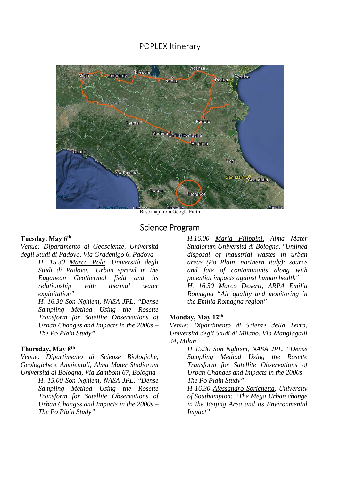## POPLEX Itinerary



Base map from Google Earth

### Science Program

#### **Tuesday, May 6th**

*Venue: Dipartimento di Geoscienze, Università degli Studi di Padova, Via Gradenigo 6, Padova* 

> *H. 15.30 Marco Pola, Università degli Studi di Padova, "Urban sprawl in the Euganean Geothermal field and its relationship with thermal water exploitation"*

> *H. 16.30 Son Nghiem, NASA JPL, "Dense Sampling Method Using the Rosette Transform for Satellite Observations of Urban Changes and Impacts in the 2000s – The Po Plain Study"*

#### **Thursday, May 8th**

*Venue: Dipartimento di Scienze Biologiche, Geologiche e Ambientali, Alma Mater Studiorum Università di Bologna, Via Zamboni 67, Bologna* 

> *H. 15.00 Son Nghiem, NASA JPL, "Dense Sampling Method Using the Rosette Transform for Satellite Observations of Urban Changes and Impacts in the 2000s – The Po Plain Study"*

*H.16.00 Maria Filippini, Alma Mater Studiorum Università di Bologna, "Unlined disposal of industrial wastes in urban areas (Po Plain, northern Italy): source and fate of contaminants along with potential impacts against human health" H. 16.30 Marco Deserti, ARPA Emilia Romagna "Air quality and monitoring in the Emilia Romagna region"* 

#### **Monday, May 12th**

*Venue: Dipartimento di Scienze della Terra, Università degli Studi di Milano, Via Mangiagalli 34, Milan* 

> *H 15.30 Son Nghiem, NASA JPL, "Dense Sampling Method Using the Rosette Transform for Satellite Observations of Urban Changes and Impacts in the 2000s – The Po Plain Study"*

*H 16.30 Alessandro Sorichetta, University of Southampton: "The Mega Urban change in the Beijing Area and its Environmental Impact"*